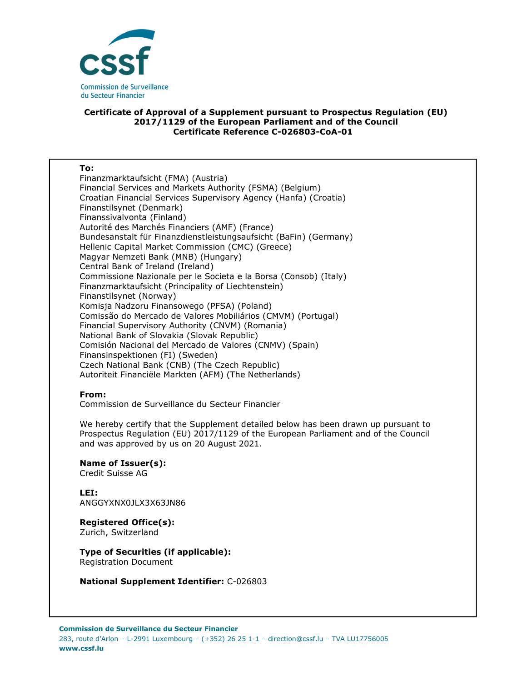

## **Certificate of Approval of a Supplement pursuant to Prospectus Regulation (EU) 2017/1129 of the European Parliament and of the Council Certificate Reference C-026803-CoA-01**

| To:                                                               |
|-------------------------------------------------------------------|
| Finanzmarktaufsicht (FMA) (Austria)                               |
| Financial Services and Markets Authority (FSMA) (Belgium)         |
| Croatian Financial Services Supervisory Agency (Hanfa) (Croatia)  |
| Finanstilsynet (Denmark)                                          |
| Finanssivalvonta (Finland)                                        |
| Autorité des Marchés Financiers (AMF) (France)                    |
| Bundesanstalt für Finanzdienstleistungsaufsicht (BaFin) (Germany) |
| Hellenic Capital Market Commission (CMC) (Greece)                 |
| Magyar Nemzeti Bank (MNB) (Hungary)                               |
| Central Bank of Ireland (Ireland)                                 |
| Commissione Nazionale per le Societa e la Borsa (Consob) (Italy)  |
| Finanzmarktaufsicht (Principality of Liechtenstein)               |
| Finanstilsynet (Norway)                                           |
| Komisja Nadzoru Finansowego (PFSA) (Poland)                       |
| Comissão do Mercado de Valores Mobiliários (CMVM) (Portugal)      |
| Financial Supervisory Authority (CNVM) (Romania)                  |
| National Bank of Slovakia (Slovak Republic)                       |
| Comisión Nacional del Mercado de Valores (CNMV) (Spain)           |
| Finansinspektionen (FI) (Sweden)                                  |
| Czech National Bank (CNB) (The Czech Republic)                    |
| Autoriteit Financiële Markten (AFM) (The Netherlands)             |

## **From:**

Commission de Surveillance du Secteur Financier

We hereby certify that the Supplement detailed below has been drawn up pursuant to Prospectus Regulation (EU) 2017/1129 of the European Parliament and of the Council and was approved by us on 20 August 2021.

**Name of Issuer(s):**  Credit Suisse AG

**LEI:** ANGGYXNX0JLX3X63JN86

**Registered Office(s):**  Zurich, Switzerland

**Type of Securities (if applicable):**  Registration Document

**National Supplement Identifier:** C-026803